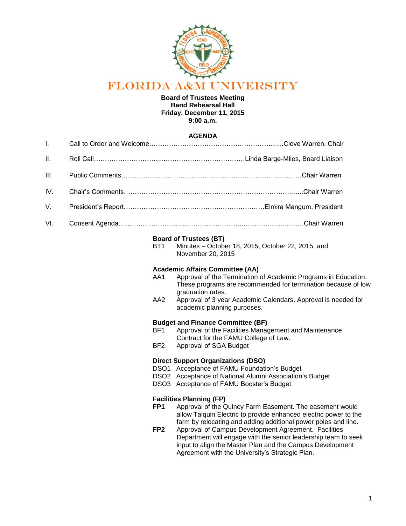

# FLORIDA A&M UNIVERSITY

### **Board of Trustees Meeting Band Rehearsal Hall Friday, December 11, 2015 9:00 a.m.**

## **AGENDA**

| $\mathbf{II}$ . |  |
|-----------------|--|
|                 |  |
|                 |  |
|                 |  |
|                 |  |

#### **Board of Trustees (BT)**

BT1 Minutes – October 18, 2015, October 22, 2015, and November 20, 2015

#### **Academic Affairs Committee (AA)**

- AA1 Approval of the Termination of Academic Programs in Education. These programs are recommended for termination because of low graduation rates.
- AA2 Approval of 3 year Academic Calendars. Approval is needed for academic planning purposes.

#### **Budget and Finance Committee (BF)**

- BF1 Approval of the Facilities Management and Maintenance Contract for the FAMU College of Law.
- BF2 Approval of SGA Budget

## **Direct Support Organizations (DSO)**

- DSO1 Acceptance of FAMU Foundation's Budget
- DSO2 Acceptance of National Alumni Association's Budget
- DSO3 Acceptance of FAMU Booster's Budget

#### **Facilities Planning (FP)**

- **FP1** Approval of the Quincy Farm Easement. The easement would allow Talquin Electric to provide enhanced electric power to the farm by relocating and adding additional power poles and line.
- **FP2** Approval of Campus Development Agreement. Facilities Department will engage with the senior leadership team to seek input to align the Master Plan and the Campus Development Agreement with the University's Strategic Plan.